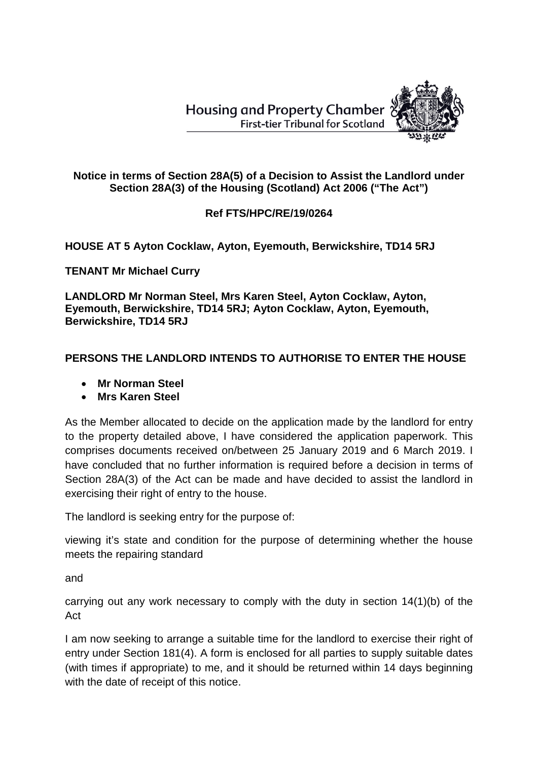**Housing and Property Chamber First-tier Tribunal for Scotland** 



## **Notice in terms of Section 28A(5) of a Decision to Assist the Landlord under Section 28A(3) of the Housing (Scotland) Act 2006 ("The Act")**

## **Ref FTS/HPC/RE/19/0264**

## **HOUSE AT 5 Ayton Cocklaw, Ayton, Eyemouth, Berwickshire, TD14 5RJ**

**TENANT Mr Michael Curry**

**LANDLORD Mr Norman Steel, Mrs Karen Steel, Ayton Cocklaw, Ayton, Eyemouth, Berwickshire, TD14 5RJ; Ayton Cocklaw, Ayton, Eyemouth, Berwickshire, TD14 5RJ**

## **PERSONS THE LANDLORD INTENDS TO AUTHORISE TO ENTER THE HOUSE**

- **Mr Norman Steel**
- **Mrs Karen Steel**

As the Member allocated to decide on the application made by the landlord for entry to the property detailed above, I have considered the application paperwork. This comprises documents received on/between 25 January 2019 and 6 March 2019. I have concluded that no further information is required before a decision in terms of Section 28A(3) of the Act can be made and have decided to assist the landlord in exercising their right of entry to the house.

The landlord is seeking entry for the purpose of:

viewing it's state and condition for the purpose of determining whether the house meets the repairing standard

and

carrying out any work necessary to comply with the duty in section 14(1)(b) of the Act

I am now seeking to arrange a suitable time for the landlord to exercise their right of entry under Section 181(4). A form is enclosed for all parties to supply suitable dates (with times if appropriate) to me, and it should be returned within 14 days beginning with the date of receipt of this notice.